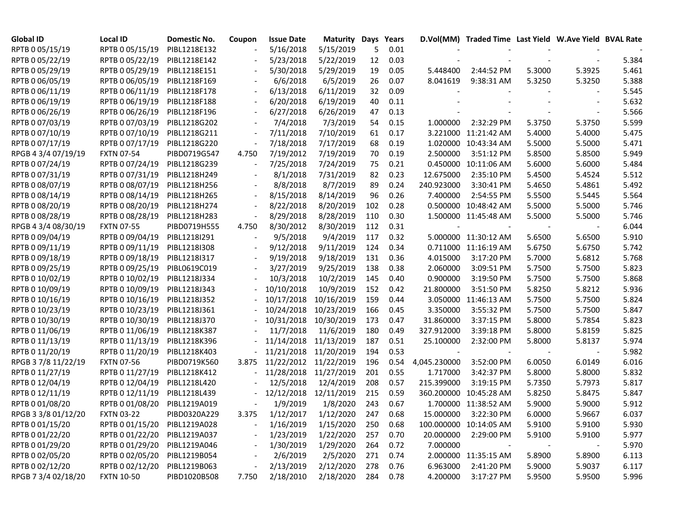| <b>Global ID</b>    | <b>Local ID</b>   | Domestic No. | Coupon | <b>Issue Date</b> | <b>Maturity Days</b>      |     | Years |              | D.Vol(MM) Traded Time Last Yield W.Ave Yield BVAL Rate |        |        |       |
|---------------------|-------------------|--------------|--------|-------------------|---------------------------|-----|-------|--------------|--------------------------------------------------------|--------|--------|-------|
| RPTB 0 05/15/19     | RPTB 0 05/15/19   | PIBL1218E132 |        | 5/16/2018         | 5/15/2019                 | 5   | 0.01  |              |                                                        |        |        |       |
| RPTB 0 05/22/19     | RPTB 0 05/22/19   | PIBL1218E142 |        | 5/23/2018         | 5/22/2019                 | 12  | 0.03  |              |                                                        |        |        | 5.384 |
| RPTB 0 05/29/19     | RPTB 0 05/29/19   | PIBL1218E151 |        | 5/30/2018         | 5/29/2019                 | 19  | 0.05  | 5.448400     | 2:44:52 PM                                             | 5.3000 | 5.3925 | 5.461 |
| RPTB 0 06/05/19     | RPTB 0 06/05/19   | PIBL1218F169 |        | 6/6/2018          | 6/5/2019                  | 26  | 0.07  | 8.041619     | 9:38:31 AM                                             | 5.3250 | 5.3250 | 5.388 |
| RPTB 0 06/11/19     | RPTB 0 06/11/19   | PIBL1218F178 |        | 6/13/2018         | 6/11/2019                 | 32  | 0.09  |              |                                                        |        |        | 5.545 |
| RPTB 0 06/19/19     | RPTB 0 06/19/19   | PIBL1218F188 |        | 6/20/2018         | 6/19/2019                 | 40  | 0.11  |              |                                                        |        |        | 5.632 |
| RPTB 0 06/26/19     | RPTB 0 06/26/19   | PIBL1218F196 |        | 6/27/2018         | 6/26/2019                 | 47  | 0.13  |              |                                                        |        |        | 5.566 |
| RPTB 0 07/03/19     | RPTB 0 07/03/19   | PIBL1218G202 |        | 7/4/2018          | 7/3/2019                  | 54  | 0.15  | 1.000000     | 2:32:29 PM                                             | 5.3750 | 5.3750 | 5.599 |
| RPTB 0 07/10/19     | RPTB 0 07/10/19   | PIBL1218G211 |        | 7/11/2018         | 7/10/2019                 | 61  | 0.17  |              | 3.221000 11:21:42 AM                                   | 5.4000 | 5.4000 | 5.475 |
| RPTB 0 07/17/19     | RPTB 0 07/17/19   | PIBL1218G220 |        | 7/18/2018         | 7/17/2019                 | 68  | 0.19  |              | 1.020000 10:43:34 AM                                   | 5.5000 | 5.5000 | 5.471 |
| RPGB 4 3/4 07/19/19 | <b>FXTN 07-54</b> | PIBD0719G547 | 4.750  | 7/19/2012         | 7/19/2019                 | 70  | 0.19  | 2.500000     | 3:51:12 PM                                             | 5.8500 | 5.8500 | 5.949 |
| RPTB 0 07/24/19     | RPTB 0 07/24/19   | PIBL1218G239 |        | 7/25/2018         | 7/24/2019                 | 75  | 0.21  | 0.450000     | 10:11:06 AM                                            | 5.6000 | 5.6000 | 5.484 |
| RPTB 0 07/31/19     | RPTB 0 07/31/19   | PIBL1218H249 |        | 8/1/2018          | 7/31/2019                 | 82  | 0.23  | 12.675000    | 2:35:10 PM                                             | 5.4500 | 5.4524 | 5.512 |
| RPTB 0 08/07/19     | RPTB 0 08/07/19   | PIBL1218H256 |        | 8/8/2018          | 8/7/2019                  | 89  | 0.24  | 240.923000   | 3:30:41 PM                                             | 5.4650 | 5.4861 | 5.492 |
| RPTB 0 08/14/19     | RPTB 0 08/14/19   | PIBL1218H265 |        | 8/15/2018         | 8/14/2019                 | 96  | 0.26  | 7.400000     | 2:54:55 PM                                             | 5.5500 | 5.5445 | 5.564 |
| RPTB 0 08/20/19     | RPTB 0 08/20/19   | PIBL1218H274 |        | 8/22/2018         | 8/20/2019                 | 102 | 0.28  |              | 0.500000 10:48:42 AM                                   | 5.5000 | 5.5000 | 5.746 |
| RPTB 0 08/28/19     | RPTB 0 08/28/19   | PIBL1218H283 |        | 8/29/2018         | 8/28/2019                 | 110 | 0.30  |              | 1.500000 11:45:48 AM                                   | 5.5000 | 5.5000 | 5.746 |
| RPGB 4 3/4 08/30/19 | <b>FXTN 07-55</b> | PIBD0719H555 | 4.750  | 8/30/2012         | 8/30/2019                 | 112 | 0.31  |              |                                                        |        |        | 6.044 |
| RPTB 0 09/04/19     | RPTB 0 09/04/19   | PIBL1218I291 |        | 9/5/2018          | 9/4/2019                  | 117 | 0.32  |              | 5.000000 11:30:12 AM                                   | 5.6500 | 5.6500 | 5.910 |
| RPTB 0 09/11/19     | RPTB 0 09/11/19   | PIBL1218I308 |        | 9/12/2018         | 9/11/2019                 | 124 | 0.34  |              | 0.711000 11:16:19 AM                                   | 5.6750 | 5.6750 | 5.742 |
| RPTB 0 09/18/19     | RPTB 0 09/18/19   | PIBL1218I317 |        | 9/19/2018         | 9/18/2019                 | 131 | 0.36  | 4.015000     | 3:17:20 PM                                             | 5.7000 | 5.6812 | 5.768 |
| RPTB 0 09/25/19     | RPTB 0 09/25/19   | PIBL0619C019 |        | 3/27/2019         | 9/25/2019                 | 138 | 0.38  | 2.060000     | 3:09:51 PM                                             | 5.7500 | 5.7500 | 5.823 |
| RPTB 0 10/02/19     | RPTB 0 10/02/19   | PIBL1218J334 |        | 10/3/2018         | 10/2/2019                 | 145 | 0.40  | 0.900000     | 3:19:50 PM                                             | 5.7500 | 5.7500 | 5.868 |
| RPTB 0 10/09/19     | RPTB 0 10/09/19   | PIBL1218J343 |        | 10/10/2018        | 10/9/2019                 | 152 | 0.42  | 21.800000    | 3:51:50 PM                                             | 5.8250 | 5.8212 | 5.936 |
| RPTB 0 10/16/19     | RPTB 0 10/16/19   | PIBL1218J352 |        | 10/17/2018        | 10/16/2019                | 159 | 0.44  | 3.050000     | 11:46:13 AM                                            | 5.7500 | 5.7500 | 5.824 |
| RPTB 0 10/23/19     | RPTB 0 10/23/19   | PIBL1218J361 |        | 10/24/2018        | 10/23/2019                | 166 | 0.45  | 3.350000     | 3:55:32 PM                                             | 5.7500 | 5.7500 | 5.847 |
| RPTB 0 10/30/19     | RPTB 0 10/30/19   | PIBL1218J370 |        | 10/31/2018        | 10/30/2019                | 173 | 0.47  | 31.860000    | 3:37:15 PM                                             | 5.8000 | 5.7854 | 5.823 |
| RPTB 0 11/06/19     | RPTB 0 11/06/19   | PIBL1218K387 |        | 11/7/2018         | 11/6/2019                 | 180 | 0.49  | 327.912000   | 3:39:18 PM                                             | 5.8000 | 5.8159 | 5.825 |
| RPTB 0 11/13/19     | RPTB 0 11/13/19   | PIBL1218K396 |        | 11/14/2018        | 11/13/2019                | 187 | 0.51  | 25.100000    | 2:32:00 PM                                             | 5.8000 | 5.8137 | 5.974 |
| RPTB 0 11/20/19     | RPTB 0 11/20/19   | PIBL1218K403 |        |                   | 11/21/2018 11/20/2019     | 194 | 0.53  |              |                                                        |        |        | 5.982 |
| RPGB 37/8 11/22/19  | <b>FXTN 07-56</b> | PIBD0719K560 | 3.875  |                   | 11/22/2012 11/22/2019     | 196 | 0.54  | 4,045.230000 | 3:52:00 PM                                             | 6.0050 | 6.0149 | 6.016 |
| RPTB 0 11/27/19     | RPTB 0 11/27/19   | PIBL1218K412 |        |                   | 11/28/2018 11/27/2019     | 201 | 0.55  | 1.717000     | 3:42:37 PM                                             | 5.8000 | 5.8000 | 5.832 |
| RPTB 0 12/04/19     | RPTB 0 12/04/19   | PIBL1218L420 |        | 12/5/2018         | 12/4/2019                 | 208 | 0.57  | 215.399000   | 3:19:15 PM                                             | 5.7350 | 5.7973 | 5.817 |
| RPTB 0 12/11/19     | RPTB 0 12/11/19   | PIBL1218L439 |        | 12/12/2018        | 12/11/2019                | 215 | 0.59  |              | 360.200000 10:45:28 AM                                 | 5.8250 | 5.8475 | 5.847 |
| RPTB 0 01/08/20     | RPTB 0 01/08/20   | PIBL1219A019 |        | 1/9/2019          | 1/8/2020                  | 243 | 0.67  |              | 1.700000 11:38:52 AM                                   | 5.9000 | 5.9000 | 5.912 |
| RPGB 3 3/8 01/12/20 | <b>FXTN 03-22</b> | PIBD0320A229 |        |                   | 3.375 1/12/2017 1/12/2020 | 247 | 0.68  |              | 15.000000 3:22:30 PM                                   | 6.0000 | 5.9667 | 6.037 |
| RPTB 0 01/15/20     | RPTB 0 01/15/20   | PIBL1219A028 |        | 1/16/2019         | 1/15/2020                 | 250 | 0.68  |              | 100.000000 10:14:05 AM                                 | 5.9100 | 5.9100 | 5.930 |
| RPTB 0 01/22/20     | RPTB 0 01/22/20   | PIBL1219A037 |        | 1/23/2019         | 1/22/2020                 | 257 | 0.70  | 20.000000    | 2:29:00 PM                                             | 5.9100 | 5.9100 | 5.977 |
| RPTB 0 01/29/20     | RPTB 0 01/29/20   | PIBL1219A046 |        | 1/30/2019         | 1/29/2020                 | 264 | 0.72  | 7.000000     |                                                        |        |        | 5.970 |
| RPTB 0 02/05/20     | RPTB 0 02/05/20   | PIBL1219B054 |        | 2/6/2019          | 2/5/2020                  | 271 | 0.74  |              | 2.000000 11:35:15 AM                                   | 5.8900 | 5.8900 | 6.113 |
| RPTB 0 02/12/20     | RPTB 0 02/12/20   | PIBL1219B063 |        | 2/13/2019         | 2/12/2020                 | 278 | 0.76  | 6.963000     | 2:41:20 PM                                             | 5.9000 | 5.9037 | 6.117 |
| RPGB 7 3/4 02/18/20 | <b>FXTN 10-50</b> | PIBD1020B508 | 7.750  | 2/18/2010         | 2/18/2020                 | 284 | 0.78  | 4.200000     | 3:17:27 PM                                             | 5.9500 | 5.9500 | 5.996 |
|                     |                   |              |        |                   |                           |     |       |              |                                                        |        |        |       |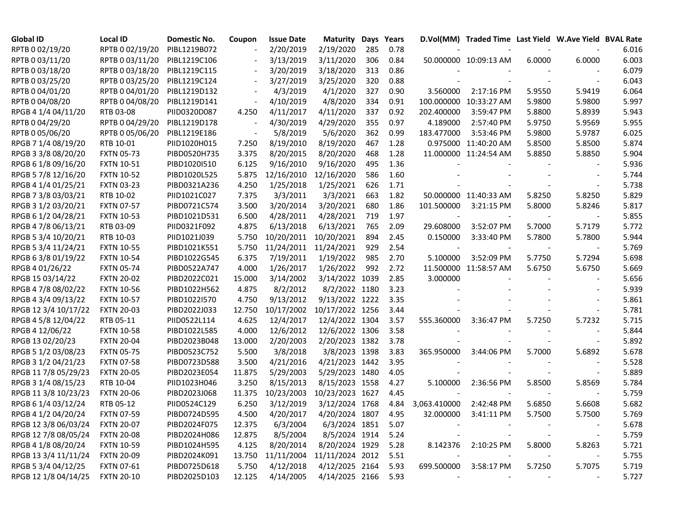| Global ID            | <b>Local ID</b>   | Domestic No. | Coupon                   | <b>Issue Date</b> | <b>Maturity</b>     | Days | Years |              | D.Vol(MM) Traded Time Last Yield W.Ave Yield BVAL Rate |        |        |       |
|----------------------|-------------------|--------------|--------------------------|-------------------|---------------------|------|-------|--------------|--------------------------------------------------------|--------|--------|-------|
| RPTB 0 02/19/20      | RPTB 0 02/19/20   | PIBL1219B072 |                          | 2/20/2019         | 2/19/2020           | 285  | 0.78  |              |                                                        |        |        | 6.016 |
| RPTB 0 03/11/20      | RPTB 0 03/11/20   | PIBL1219C106 |                          | 3/13/2019         | 3/11/2020           | 306  | 0.84  |              | 50.000000 10:09:13 AM                                  | 6.0000 | 6.0000 | 6.003 |
| RPTB 0 03/18/20      | RPTB 0 03/18/20   | PIBL1219C115 |                          | 3/20/2019         | 3/18/2020           | 313  | 0.86  |              |                                                        |        |        | 6.079 |
| RPTB 0 03/25/20      | RPTB 0 03/25/20   | PIBL1219C124 |                          | 3/27/2019         | 3/25/2020           | 320  | 0.88  |              |                                                        |        |        | 6.043 |
| RPTB 0 04/01/20      | RPTB 0 04/01/20   | PIBL1219D132 |                          | 4/3/2019          | 4/1/2020            | 327  | 0.90  | 3.560000     | 2:17:16 PM                                             | 5.9550 | 5.9419 | 6.064 |
| RPTB 0 04/08/20      | RPTB 0 04/08/20   | PIBL1219D141 | $\overline{\phantom{a}}$ | 4/10/2019         | 4/8/2020            | 334  | 0.91  |              | 100.000000 10:33:27 AM                                 | 5.9800 | 5.9800 | 5.997 |
| RPGB 4 1/4 04/11/20  | RTB 03-08         | PIID0320D087 | 4.250                    | 4/11/2017         | 4/11/2020           | 337  | 0.92  | 202.400000   | 3:59:47 PM                                             | 5.8800 | 5.8939 | 5.943 |
| RPTB 0 04/29/20      | RPTB 0 04/29/20   | PIBL1219D178 |                          | 4/30/2019         | 4/29/2020           | 355  | 0.97  | 4.189000     | 2:57:40 PM                                             | 5.9750 | 5.9569 | 5.955 |
| RPTB 0 05/06/20      | RPTB 0 05/06/20   | PIBL1219E186 |                          | 5/8/2019          | 5/6/2020            | 362  | 0.99  | 183.477000   | 3:53:46 PM                                             | 5.9800 | 5.9787 | 6.025 |
| RPGB 7 1/4 08/19/20  | RTB 10-01         | PIID1020H015 | 7.250                    | 8/19/2010         | 8/19/2020           | 467  | 1.28  |              | 0.975000 11:40:20 AM                                   | 5.8500 | 5.8500 | 5.874 |
| RPGB 3 3/8 08/20/20  | <b>FXTN 05-73</b> | PIBD0520H735 | 3.375                    | 8/20/2015         | 8/20/2020           | 468  | 1.28  |              | 11.000000 11:24:54 AM                                  | 5.8850 | 5.8850 | 5.904 |
| RPGB 6 1/8 09/16/20  | <b>FXTN 10-51</b> | PIBD1020I510 | 6.125                    | 9/16/2010         | 9/16/2020           | 495  | 1.36  |              |                                                        |        |        | 5.936 |
| RPGB 5 7/8 12/16/20  | <b>FXTN 10-52</b> | PIBD1020L525 | 5.875                    | 12/16/2010        | 12/16/2020          | 586  | 1.60  |              |                                                        |        |        | 5.744 |
| RPGB 4 1/4 01/25/21  | <b>FXTN 03-23</b> | PIBD0321A236 | 4.250                    | 1/25/2018         | 1/25/2021           | 626  | 1.71  |              |                                                        |        |        | 5.738 |
| RPGB 7 3/8 03/03/21  | RTB 10-02         | PIID1021C027 | 7.375                    | 3/3/2011          | 3/3/2021            | 663  | 1.82  |              | 50.000000 11:40:33 AM                                  | 5.8250 | 5.8250 | 5.829 |
| RPGB 3 1/2 03/20/21  | <b>FXTN 07-57</b> | PIBD0721C574 | 3.500                    | 3/20/2014         | 3/20/2021           | 680  | 1.86  | 101.500000   | 3:21:15 PM                                             | 5.8000 | 5.8246 | 5.817 |
| RPGB 6 1/2 04/28/21  | <b>FXTN 10-53</b> | PIBD1021D531 | 6.500                    | 4/28/2011         | 4/28/2021           | 719  | 1.97  |              |                                                        |        |        | 5.855 |
| RPGB 4 7/8 06/13/21  | RTB 03-09         | PIID0321F092 | 4.875                    | 6/13/2018         | 6/13/2021           | 765  | 2.09  | 29.608000    | 3:52:07 PM                                             | 5.7000 | 5.7179 | 5.772 |
| RPGB 5 3/4 10/20/21  | RTB 10-03         | PIID1021J039 | 5.750                    | 10/20/2011        | 10/20/2021          | 894  | 2.45  | 0.150000     | 3:33:40 PM                                             | 5.7800 | 5.7800 | 5.944 |
| RPGB 5 3/4 11/24/21  | <b>FXTN 10-55</b> | PIBD1021K551 | 5.750                    | 11/24/2011        | 11/24/2021          | 929  | 2.54  |              |                                                        |        |        | 5.769 |
| RPGB 63/8 01/19/22   | <b>FXTN 10-54</b> | PIBD1022G545 | 6.375                    | 7/19/2011         | 1/19/2022           | 985  | 2.70  | 5.100000     | 3:52:09 PM                                             | 5.7750 | 5.7294 | 5.698 |
| RPGB 4 01/26/22      | <b>FXTN 05-74</b> | PIBD0522A747 | 4.000                    | 1/26/2017         | 1/26/2022           | 992  | 2.72  |              | 11.500000 11:58:57 AM                                  | 5.6750 | 5.6750 | 5.669 |
| RPGB 15 03/14/22     | <b>FXTN 20-02</b> | PIBD2022C021 | 15.000                   | 3/14/2002         | 3/14/2022           | 1039 | 2.85  | 3.000000     |                                                        |        |        | 5.656 |
| RPGB 4 7/8 08/02/22  | <b>FXTN 10-56</b> | PIBD1022H562 | 4.875                    | 8/2/2012          | 8/2/2022 1180       |      | 3.23  |              |                                                        |        |        | 5.939 |
| RPGB 4 3/4 09/13/22  | <b>FXTN 10-57</b> | PIBD1022I570 | 4.750                    | 9/13/2012         | 9/13/2022 1222      |      | 3.35  |              |                                                        |        |        | 5.861 |
| RPGB 12 3/4 10/17/22 | <b>FXTN 20-03</b> | PIBD2022J033 | 12.750                   | 10/17/2002        | 10/17/2022 1256     |      | 3.44  |              |                                                        |        |        | 5.781 |
| RPGB 4 5/8 12/04/22  | RTB 05-11         | PIID0522L114 | 4.625                    | 12/4/2017         | 12/4/2022 1304      |      | 3.57  | 555.360000   | 3:36:47 PM                                             | 5.7250 | 5.7232 | 5.715 |
| RPGB 4 12/06/22      | <b>FXTN 10-58</b> | PIBD1022L585 | 4.000                    | 12/6/2012         | 12/6/2022 1306      |      | 3.58  |              |                                                        |        |        | 5.844 |
| RPGB 13 02/20/23     | <b>FXTN 20-04</b> | PIBD2023B048 | 13.000                   | 2/20/2003         | 2/20/2023 1382      |      | 3.78  |              |                                                        |        |        | 5.892 |
| RPGB 5 1/2 03/08/23  | <b>FXTN 05-75</b> | PIBD0523C752 | 5.500                    | 3/8/2018          | 3/8/2023 1398       |      | 3.83  | 365.950000   | 3:44:06 PM                                             | 5.7000 | 5.6892 | 5.678 |
| RPGB 3 1/2 04/21/23  | <b>FXTN 07-58</b> | PIBD0723D588 | 3.500                    | 4/21/2016         | 4/21/2023 1442      |      | 3.95  |              |                                                        |        |        | 5.528 |
| RPGB 11 7/8 05/29/23 | <b>FXTN 20-05</b> | PIBD2023E054 | 11.875                   | 5/29/2003         | 5/29/2023 1480      |      | 4.05  |              |                                                        |        |        | 5.889 |
| RPGB 3 1/4 08/15/23  | RTB 10-04         | PIID1023H046 | 3.250                    | 8/15/2013         | 8/15/2023 1558      |      | 4.27  | 5.100000     | 2:36:56 PM                                             | 5.8500 | 5.8569 | 5.784 |
| RPGB 11 3/8 10/23/23 | <b>FXTN 20-06</b> | PIBD2023J068 | 11.375                   | 10/23/2003        | 10/23/2023 1627     |      | 4.45  |              |                                                        |        |        | 5.759 |
| RPGB 6 1/4 03/12/24  | RTB 05-12         | PIID0524C129 | 6.250                    | 3/12/2019         | 3/12/2024 1768      |      | 4.84  | 3,063.410000 | 2:42:48 PM                                             | 5.6850 | 5.6608 | 5.682 |
| RPGB 4 1/2 04/20/24  | <b>FXTN 07-59</b> | PIBD0724D595 | 4.500                    | 4/20/2017         | 4/20/2024 1807      |      | 4.95  | 32.000000    | 3:41:11 PM                                             | 5.7500 | 5.7500 | 5.769 |
| RPGB 12 3/8 06/03/24 | <b>FXTN 20-07</b> | PIBD2024F075 | 12.375                   | 6/3/2004          | 6/3/2024 1851       |      | 5.07  |              |                                                        |        |        | 5.678 |
| RPGB 12 7/8 08/05/24 | <b>FXTN 20-08</b> | PIBD2024H086 | 12.875                   | 8/5/2004          | 8/5/2024 1914       |      | 5.24  |              |                                                        |        |        | 5.759 |
| RPGB 4 1/8 08/20/24  | <b>FXTN 10-59</b> | PIBD1024H595 | 4.125                    | 8/20/2014         | 8/20/2024 1929      |      | 5.28  | 8.142376     | 2:10:25 PM                                             | 5.8000 | 5.8263 | 5.721 |
| RPGB 13 3/4 11/11/24 | <b>FXTN 20-09</b> | PIBD2024K091 | 13.750                   | 11/11/2004        | 11/11/2024 2012     |      | 5.51  |              |                                                        |        |        | 5.755 |
| RPGB 5 3/4 04/12/25  | <b>FXTN 07-61</b> | PIBD0725D618 | 5.750                    | 4/12/2018         | 4/12/2025 2164      |      | 5.93  | 699.500000   | 3:58:17 PM                                             | 5.7250 | 5.7075 | 5.719 |
| RPGB 12 1/8 04/14/25 | <b>FXTN 20-10</b> | PIBD2025D103 | 12.125                   | 4/14/2005         | 4/14/2025 2166 5.93 |      |       |              |                                                        |        |        | 5.727 |